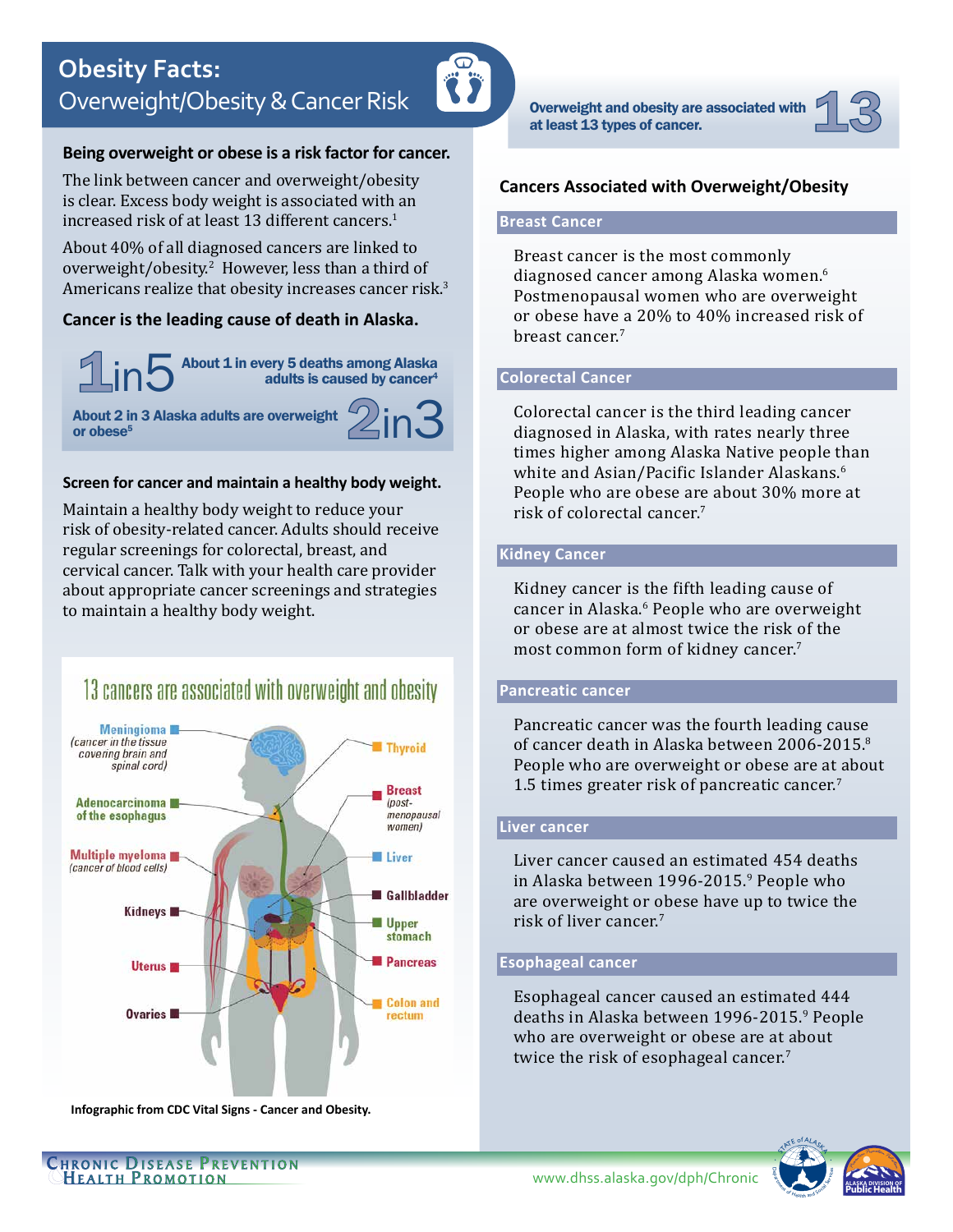

# **Being overweight or obese is a risk factor for cancer.**

The link between cancer and overweight/obesity is clear. Excess body weight is associated with an increased risk of at least 13 different cancers.<sup>1</sup>

About 40% of all diagnosed cancers are linked to overweight/obesity.2 However, less than a third of Americans realize that obesity increases cancer risk.<sup>3</sup>

# **Cancer is the leading cause of death in Alaska.**

About 1 in every 5 deaths among Alaska adults is caused by cancer<sup>4</sup>  $1$ in $5$ 

About 2 in 3 Alaska adults are overweight or obese<sup>5</sup>



### **Screen for cancer and maintain a healthy body weight.**

Maintain a healthy body weight to reduce your risk of obesity-related cancer. Adults should receive regular screenings for colorectal, breast, and cervical cancer. Talk with your health care provider about appropriate cancer screenings and strategies to maintain a healthy body weight.





**Infographic from CDC Vital Signs - Cancer and Obesity.**

Overweight and obesity are associated with at least 13 types of cancer.



## **Cancers Associated with Overweight/Obesity**

# **Breast Cancer**

Breast cancer is the most commonly diagnosed cancer among Alaska women.<sup>6</sup> Postmenopausal women who are overweight or obese have a 20% to 40% increased risk of breast cancer.<sup>7</sup>

# **Colorectal Cancer**

Colorectal cancer is the third leading cancer diagnosed in Alaska, with rates nearly three times higher among Alaska Native people than white and Asian/Pacific Islander Alaskans.<sup>6</sup> People who are obese are about 30% more at risk of colorectal cancer.<sup>7</sup>

# **Kidney Cancer**

Kidney cancer is the fifth leading cause of cancer in Alaska.<sup>6</sup> People who are overweight or obese are at almost twice the risk of the most common form of kidney cancer.<sup>7</sup>

#### **Pancreatic cancer**

Pancreatic cancer was the fourth leading cause of cancer death in Alaska between 2006-2015.<sup>8</sup> People who are overweight or obese are at about 1.5 times greater risk of pancreatic cancer.<sup>7</sup>

#### **Liver cancer**

Liver cancer caused an estimated 454 deaths in Alaska between 1996-2015.<sup>9</sup> People who are overweight or obese have up to twice the risk of liver cancer. $^7$ 

#### **Esophageal cancer**

Esophageal cancer caused an estimated 444 deaths in Alaska between 1996-2015.<sup>9</sup> People who are overweight or obese are at about twice the risk of esophageal cancer. $^7$